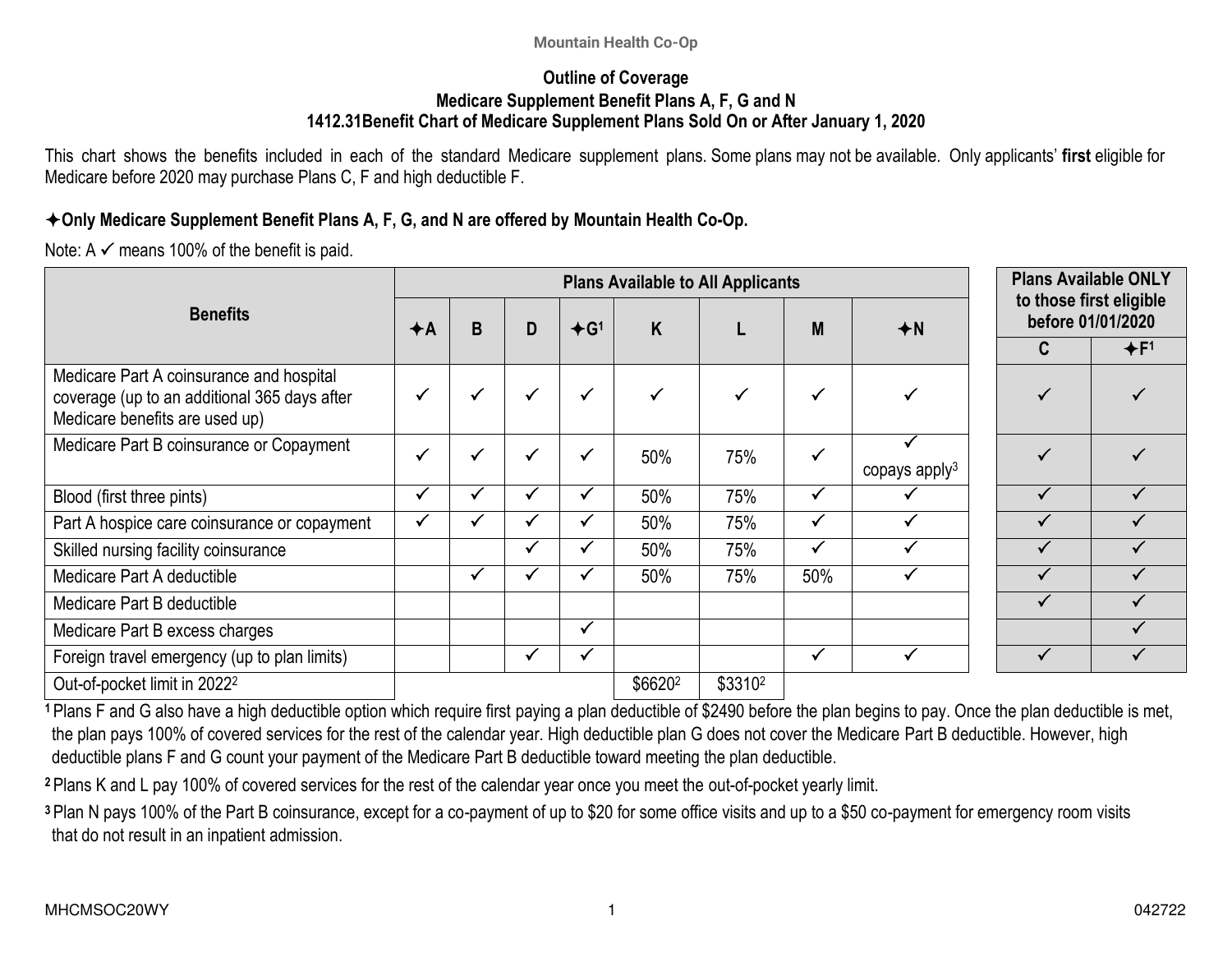### **Outline of Coverage Medicare Supplement Benefit Plans A, F, G and N 1412.31Benefit Chart of Medicare Supplement Plans Sold On or After January 1, 2020**

This chart shows the benefits included in each of the standard Medicare supplement plans. Some plans may not be available. Only applicants' **first** eligible for Medicare before 2020 may purchase Plans C, F and high deductible F.

### **Only Medicare Supplement Benefit Plans A, F, G, and N are offered by Mountain Health Co-Op.**

Note: A  $\checkmark$  means 100% of the benefit is paid.

|                                                                                                                            |      | <b>Plans Available to All Applicants</b> |   |              |         |              |              | <b>Plans Available ONLY</b> |                                              |       |
|----------------------------------------------------------------------------------------------------------------------------|------|------------------------------------------|---|--------------|---------|--------------|--------------|-----------------------------|----------------------------------------------|-------|
| <b>Benefits</b>                                                                                                            | $+A$ | B                                        | D | $+G1$        | K       |              | M            | $+N$                        | to those first eligible<br>before 01/01/2020 |       |
|                                                                                                                            |      |                                          |   |              |         |              |              |                             | C                                            | $+F1$ |
| Medicare Part A coinsurance and hospital<br>coverage (up to an additional 365 days after<br>Medicare benefits are used up) | √    | $\checkmark$                             | √ | $\checkmark$ |         | $\checkmark$ | $\checkmark$ |                             |                                              |       |
| Medicare Part B coinsurance or Copayment                                                                                   |      | $\checkmark$                             |   | $\checkmark$ | 50%     | 75%          | $\checkmark$ | copays apply <sup>3</sup>   |                                              |       |
| Blood (first three pints)                                                                                                  | v    | √                                        |   |              | 50%     | 75%          | $\checkmark$ |                             |                                              |       |
| Part A hospice care coinsurance or copayment                                                                               |      |                                          |   |              | 50%     | 75%          | $\checkmark$ | $\checkmark$                |                                              |       |
| Skilled nursing facility coinsurance                                                                                       |      |                                          |   |              | 50%     | 75%          | $\checkmark$ |                             |                                              |       |
| Medicare Part A deductible                                                                                                 |      | $\checkmark$                             |   |              | 50%     | 75%          | 50%          |                             |                                              |       |
| Medicare Part B deductible                                                                                                 |      |                                          |   |              |         |              |              |                             |                                              |       |
| Medicare Part B excess charges                                                                                             |      |                                          |   | $\checkmark$ |         |              |              |                             |                                              |       |
| Foreign travel emergency (up to plan limits)                                                                               |      |                                          |   | $\checkmark$ |         |              | $\checkmark$ |                             |                                              |       |
| Out-of-pocket limit in 2022 <sup>2</sup>                                                                                   |      |                                          |   |              | \$66202 | \$33102      |              |                             |                                              |       |

**<sup>1</sup>**Plans F and G also have a high deductible option which require first paying a plan deductible of \$2490 before the plan begins to pay. Once the plan deductible is met, the plan pays 100% of covered services for the rest of the calendar year. High deductible plan G does not cover the Medicare Part B deductible. However, high deductible plans F and G count your payment of the Medicare Part B deductible toward meeting the plan deductible.

**<sup>2</sup>**Plans K and L pay 100% of covered services for the rest of the calendar year once you meet the out-of-pocket yearly limit.

**<sup>3</sup>**Plan N pays 100% of the Part B coinsurance, except for a co-payment of up to \$20 for some office visits and up to a \$50 co-payment for emergency room visits that do not result in an inpatient admission.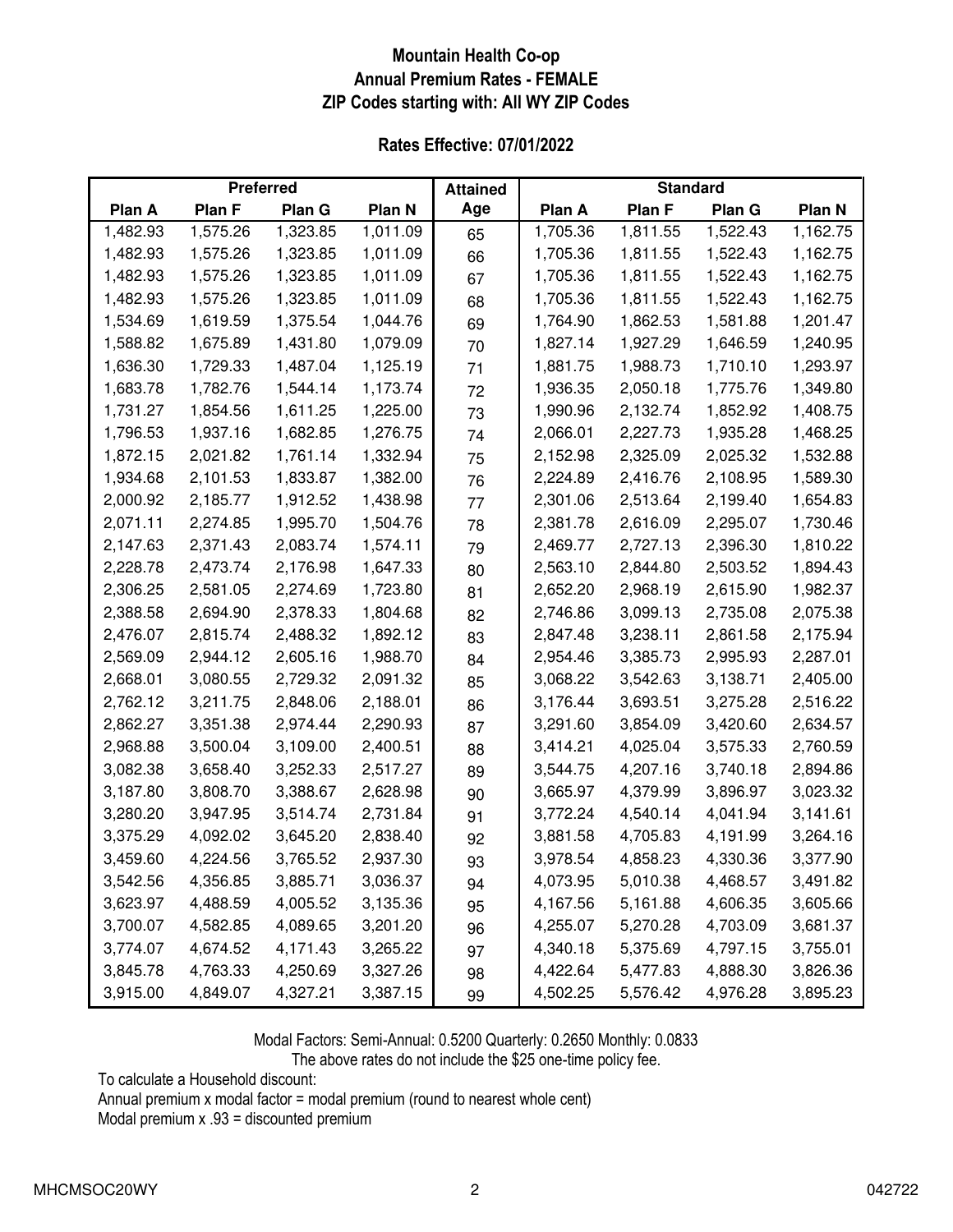### **Mountain Health Co-op Annual Premium Rates - FEMALE ZIP Codes starting with: All WY ZIP Codes**

|  |  | <b>Rates Effective: 07/01/2022</b> |
|--|--|------------------------------------|
|--|--|------------------------------------|

| <b>Preferred</b> |          | <b>Attained</b> |          | <b>Standard</b> |          |          |          |          |
|------------------|----------|-----------------|----------|-----------------|----------|----------|----------|----------|
| Plan A           | Plan F   | Plan G          | Plan N   | Age             | Plan A   | Plan F   | Plan G   | Plan N   |
| 1,482.93         | 1,575.26 | 1,323.85        | 1,011.09 | 65              | 1,705.36 | 1,811.55 | 1,522.43 | 1,162.75 |
| 1,482.93         | 1,575.26 | 1,323.85        | 1,011.09 | 66              | 1,705.36 | 1,811.55 | 1,522.43 | 1,162.75 |
| 1,482.93         | 1,575.26 | 1,323.85        | 1,011.09 | 67              | 1,705.36 | 1,811.55 | 1,522.43 | 1,162.75 |
| 1,482.93         | 1,575.26 | 1,323.85        | 1,011.09 | 68              | 1,705.36 | 1,811.55 | 1,522.43 | 1,162.75 |
| 1,534.69         | 1,619.59 | 1,375.54        | 1,044.76 | 69              | 1,764.90 | 1,862.53 | 1,581.88 | 1,201.47 |
| 1,588.82         | 1,675.89 | 1,431.80        | 1,079.09 | 70              | 1,827.14 | 1,927.29 | 1,646.59 | 1,240.95 |
| 1,636.30         | 1,729.33 | 1,487.04        | 1,125.19 | 71              | 1,881.75 | 1,988.73 | 1,710.10 | 1,293.97 |
| 1,683.78         | 1,782.76 | 1,544.14        | 1,173.74 | 72              | 1,936.35 | 2,050.18 | 1,775.76 | 1,349.80 |
| 1,731.27         | 1,854.56 | 1,611.25        | 1,225.00 | 73              | 1,990.96 | 2,132.74 | 1,852.92 | 1,408.75 |
| 1,796.53         | 1,937.16 | 1,682.85        | 1,276.75 | 74              | 2,066.01 | 2,227.73 | 1,935.28 | 1,468.25 |
| 1,872.15         | 2,021.82 | 1,761.14        | 1,332.94 | 75              | 2,152.98 | 2,325.09 | 2,025.32 | 1,532.88 |
| 1,934.68         | 2,101.53 | 1,833.87        | 1,382.00 | 76              | 2,224.89 | 2,416.76 | 2,108.95 | 1,589.30 |
| 2,000.92         | 2,185.77 | 1,912.52        | 1,438.98 | 77              | 2,301.06 | 2,513.64 | 2,199.40 | 1,654.83 |
| 2,071.11         | 2,274.85 | 1,995.70        | 1,504.76 | 78              | 2,381.78 | 2,616.09 | 2,295.07 | 1,730.46 |
| 2,147.63         | 2,371.43 | 2,083.74        | 1,574.11 | 79              | 2,469.77 | 2,727.13 | 2,396.30 | 1,810.22 |
| 2,228.78         | 2,473.74 | 2,176.98        | 1,647.33 | 80              | 2,563.10 | 2,844.80 | 2,503.52 | 1,894.43 |
| 2,306.25         | 2,581.05 | 2,274.69        | 1,723.80 | 81              | 2,652.20 | 2,968.19 | 2,615.90 | 1,982.37 |
| 2,388.58         | 2,694.90 | 2,378.33        | 1,804.68 | 82              | 2,746.86 | 3,099.13 | 2,735.08 | 2,075.38 |
| 2,476.07         | 2,815.74 | 2,488.32        | 1,892.12 | 83              | 2,847.48 | 3,238.11 | 2,861.58 | 2,175.94 |
| 2,569.09         | 2,944.12 | 2,605.16        | 1,988.70 | 84              | 2,954.46 | 3,385.73 | 2,995.93 | 2,287.01 |
| 2,668.01         | 3,080.55 | 2,729.32        | 2,091.32 | 85              | 3,068.22 | 3,542.63 | 3,138.71 | 2,405.00 |
| 2,762.12         | 3,211.75 | 2,848.06        | 2,188.01 | 86              | 3,176.44 | 3,693.51 | 3,275.28 | 2,516.22 |
| 2,862.27         | 3,351.38 | 2,974.44        | 2,290.93 | 87              | 3,291.60 | 3,854.09 | 3,420.60 | 2,634.57 |
| 2,968.88         | 3,500.04 | 3,109.00        | 2,400.51 | 88              | 3,414.21 | 4,025.04 | 3,575.33 | 2,760.59 |
| 3,082.38         | 3,658.40 | 3,252.33        | 2,517.27 | 89              | 3,544.75 | 4,207.16 | 3,740.18 | 2,894.86 |
| 3,187.80         | 3,808.70 | 3,388.67        | 2,628.98 | 90              | 3,665.97 | 4,379.99 | 3,896.97 | 3,023.32 |
| 3,280.20         | 3,947.95 | 3,514.74        | 2,731.84 | 91              | 3,772.24 | 4,540.14 | 4,041.94 | 3,141.61 |
| 3,375.29         | 4,092.02 | 3,645.20        | 2,838.40 | 92              | 3,881.58 | 4,705.83 | 4,191.99 | 3,264.16 |
| 3,459.60         | 4,224.56 | 3,765.52        | 2,937.30 | 93              | 3,978.54 | 4,858.23 | 4,330.36 | 3,377.90 |
| 3,542.56         | 4,356.85 | 3,885.71        | 3,036.37 | 94              | 4,073.95 | 5,010.38 | 4,468.57 | 3,491.82 |
| 3,623.97         | 4,488.59 | 4,005.52        | 3,135.36 | 95              | 4,167.56 | 5,161.88 | 4,606.35 | 3,605.66 |
| 3,700.07         | 4,582.85 | 4,089.65        | 3,201.20 | 96              | 4,255.07 | 5,270.28 | 4,703.09 | 3,681.37 |
| 3,774.07         | 4,674.52 | 4,171.43        | 3,265.22 | 97              | 4,340.18 | 5,375.69 | 4,797.15 | 3,755.01 |
| 3,845.78         | 4,763.33 | 4,250.69        | 3,327.26 | 98              | 4,422.64 | 5,477.83 | 4,888.30 | 3,826.36 |
| 3,915.00         | 4,849.07 | 4,327.21        | 3,387.15 | 99              | 4,502.25 | 5,576.42 | 4,976.28 | 3,895.23 |

Modal Factors: Semi-Annual: 0.5200 Quarterly: 0.2650 Monthly: 0.0833

The above rates do not include the \$25 one-time policy fee.

To calculate a Household discount:

Annual premium x modal factor = modal premium (round to nearest whole cent)

Modal premium x .93 = discounted premium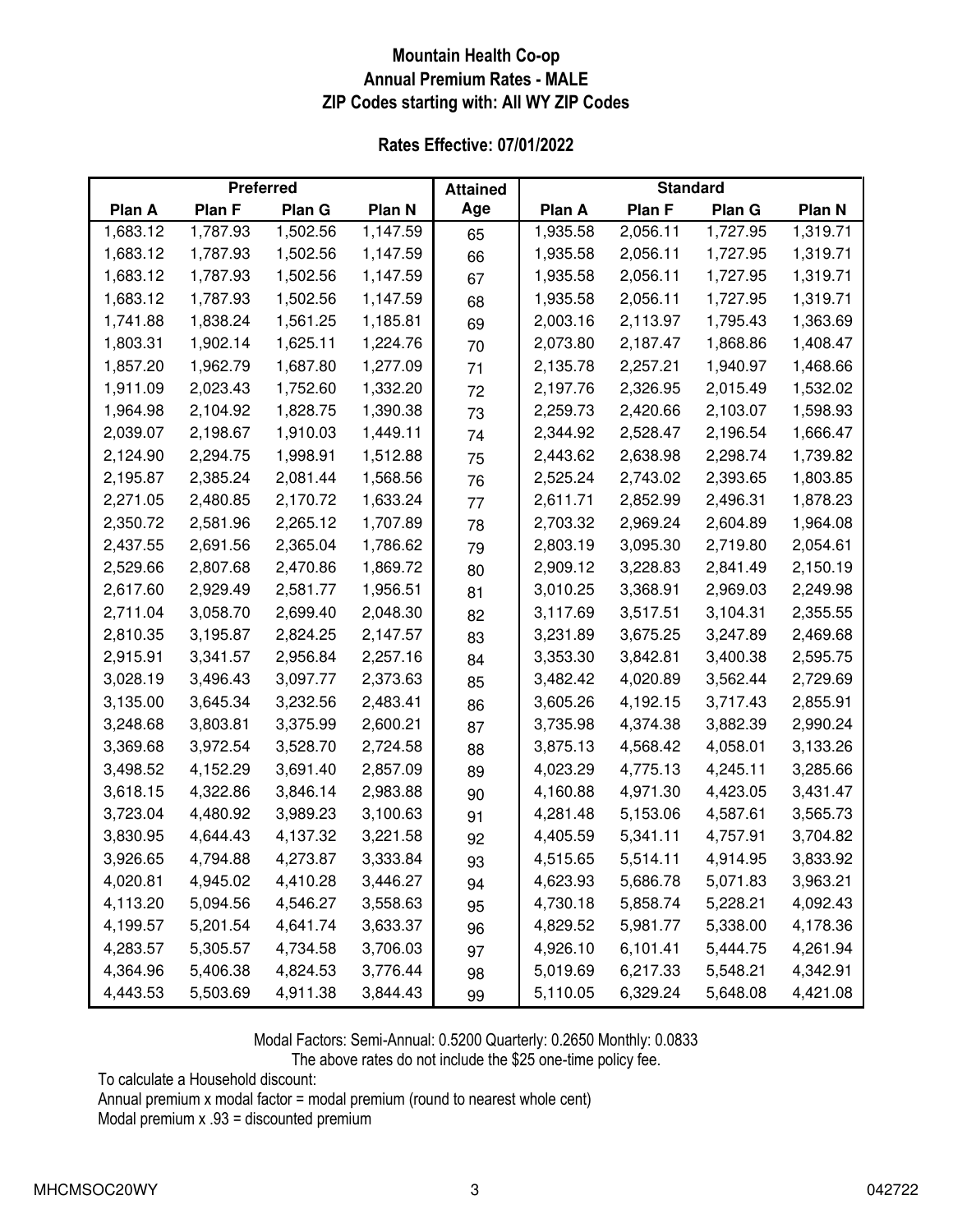### **Mountain Health Co-op Annual Premium Rates - MALE ZIP Codes starting with: All WY ZIP Codes**

|  |  | <b>Rates Effective: 07/01/2022</b> |
|--|--|------------------------------------|
|--|--|------------------------------------|

| <b>Preferred</b> |          | <b>Attained</b> |          | <b>Standard</b> |          |          |          |          |
|------------------|----------|-----------------|----------|-----------------|----------|----------|----------|----------|
| Plan A           | Plan F   | Plan G          | Plan N   | Age             | Plan A   | Plan F   | Plan G   | Plan N   |
| 1,683.12         | 1,787.93 | 1,502.56        | 1,147.59 | 65              | 1,935.58 | 2,056.11 | 1,727.95 | 1,319.71 |
| 1,683.12         | 1,787.93 | 1,502.56        | 1,147.59 | 66              | 1,935.58 | 2,056.11 | 1,727.95 | 1,319.71 |
| 1,683.12         | 1,787.93 | 1,502.56        | 1,147.59 | 67              | 1,935.58 | 2,056.11 | 1,727.95 | 1,319.71 |
| 1,683.12         | 1,787.93 | 1,502.56        | 1,147.59 | 68              | 1,935.58 | 2,056.11 | 1,727.95 | 1,319.71 |
| 1,741.88         | 1,838.24 | 1,561.25        | 1,185.81 | 69              | 2,003.16 | 2,113.97 | 1,795.43 | 1,363.69 |
| 1,803.31         | 1,902.14 | 1,625.11        | 1,224.76 | 70              | 2,073.80 | 2,187.47 | 1,868.86 | 1,408.47 |
| 1,857.20         | 1,962.79 | 1,687.80        | 1,277.09 | 71              | 2,135.78 | 2,257.21 | 1,940.97 | 1,468.66 |
| 1,911.09         | 2,023.43 | 1,752.60        | 1,332.20 | 72              | 2,197.76 | 2,326.95 | 2,015.49 | 1,532.02 |
| 1,964.98         | 2,104.92 | 1,828.75        | 1,390.38 | 73              | 2,259.73 | 2,420.66 | 2,103.07 | 1,598.93 |
| 2,039.07         | 2,198.67 | 1,910.03        | 1,449.11 | 74              | 2,344.92 | 2,528.47 | 2,196.54 | 1,666.47 |
| 2,124.90         | 2,294.75 | 1,998.91        | 1,512.88 | 75              | 2,443.62 | 2,638.98 | 2,298.74 | 1,739.82 |
| 2,195.87         | 2,385.24 | 2,081.44        | 1,568.56 | 76              | 2,525.24 | 2,743.02 | 2,393.65 | 1,803.85 |
| 2,271.05         | 2,480.85 | 2,170.72        | 1,633.24 | 77              | 2,611.71 | 2,852.99 | 2,496.31 | 1,878.23 |
| 2,350.72         | 2,581.96 | 2,265.12        | 1,707.89 | 78              | 2,703.32 | 2,969.24 | 2,604.89 | 1,964.08 |
| 2,437.55         | 2,691.56 | 2,365.04        | 1,786.62 | 79              | 2,803.19 | 3,095.30 | 2,719.80 | 2,054.61 |
| 2,529.66         | 2,807.68 | 2,470.86        | 1,869.72 | 80              | 2,909.12 | 3,228.83 | 2,841.49 | 2,150.19 |
| 2,617.60         | 2,929.49 | 2,581.77        | 1,956.51 | 81              | 3,010.25 | 3,368.91 | 2,969.03 | 2,249.98 |
| 2,711.04         | 3,058.70 | 2,699.40        | 2,048.30 | 82              | 3,117.69 | 3,517.51 | 3,104.31 | 2,355.55 |
| 2,810.35         | 3,195.87 | 2,824.25        | 2,147.57 | 83              | 3,231.89 | 3,675.25 | 3,247.89 | 2,469.68 |
| 2,915.91         | 3,341.57 | 2,956.84        | 2,257.16 | 84              | 3,353.30 | 3,842.81 | 3,400.38 | 2,595.75 |
| 3,028.19         | 3,496.43 | 3,097.77        | 2,373.63 | 85              | 3,482.42 | 4,020.89 | 3,562.44 | 2,729.69 |
| 3,135.00         | 3,645.34 | 3,232.56        | 2,483.41 | 86              | 3,605.26 | 4,192.15 | 3,717.43 | 2,855.91 |
| 3,248.68         | 3,803.81 | 3,375.99        | 2,600.21 | 87              | 3,735.98 | 4,374.38 | 3,882.39 | 2,990.24 |
| 3,369.68         | 3,972.54 | 3,528.70        | 2,724.58 | 88              | 3,875.13 | 4,568.42 | 4,058.01 | 3,133.26 |
| 3,498.52         | 4,152.29 | 3,691.40        | 2,857.09 | 89              | 4,023.29 | 4,775.13 | 4,245.11 | 3,285.66 |
| 3,618.15         | 4,322.86 | 3,846.14        | 2,983.88 | 90              | 4,160.88 | 4,971.30 | 4,423.05 | 3,431.47 |
| 3,723.04         | 4,480.92 | 3,989.23        | 3,100.63 | 91              | 4,281.48 | 5,153.06 | 4,587.61 | 3,565.73 |
| 3,830.95         | 4,644.43 | 4,137.32        | 3,221.58 | 92              | 4,405.59 | 5,341.11 | 4,757.91 | 3,704.82 |
| 3,926.65         | 4,794.88 | 4,273.87        | 3,333.84 | 93              | 4,515.65 | 5,514.11 | 4,914.95 | 3,833.92 |
| 4,020.81         | 4,945.02 | 4,410.28        | 3,446.27 | 94              | 4,623.93 | 5,686.78 | 5,071.83 | 3,963.21 |
| 4,113.20         | 5,094.56 | 4,546.27        | 3,558.63 | 95              | 4,730.18 | 5,858.74 | 5,228.21 | 4,092.43 |
| 4,199.57         | 5,201.54 | 4,641.74        | 3,633.37 | 96              | 4,829.52 | 5,981.77 | 5,338.00 | 4,178.36 |
| 4,283.57         | 5,305.57 | 4,734.58        | 3,706.03 | 97              | 4,926.10 | 6,101.41 | 5,444.75 | 4,261.94 |
| 4,364.96         | 5,406.38 | 4,824.53        | 3,776.44 | 98              | 5,019.69 | 6,217.33 | 5,548.21 | 4,342.91 |
| 4,443.53         | 5,503.69 | 4,911.38        | 3,844.43 | 99              | 5,110.05 | 6,329.24 | 5,648.08 | 4,421.08 |

Modal Factors: Semi-Annual: 0.5200 Quarterly: 0.2650 Monthly: 0.0833

The above rates do not include the \$25 one-time policy fee.

To calculate a Household discount:

Annual premium x modal factor = modal premium (round to nearest whole cent)

Modal premium x .93 = discounted premium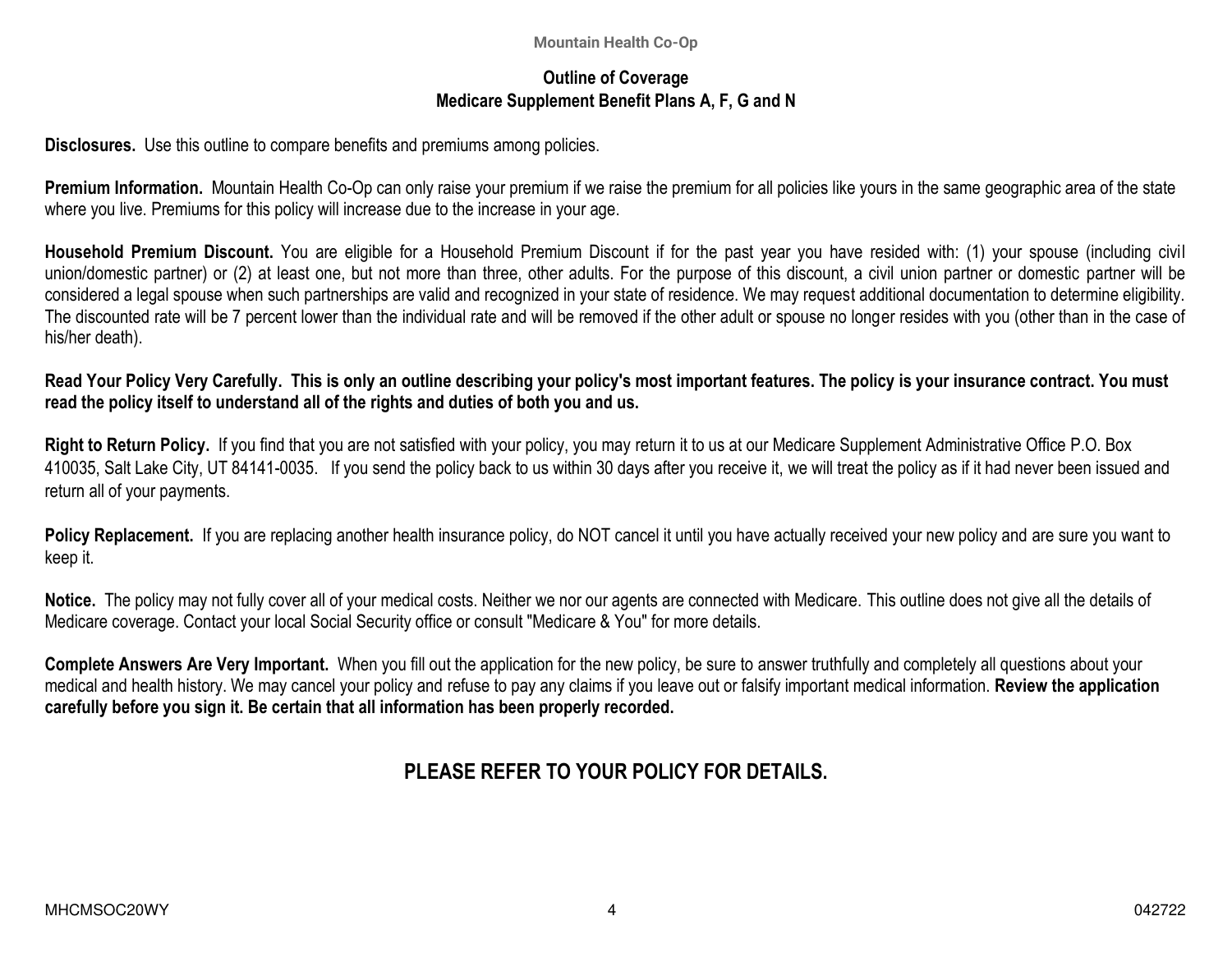### **Outline of Coverage Medicare Supplement Benefit Plans A, F, G and N**

**Disclosures.** Use this outline to compare benefits and premiums among policies.

**Premium Information.** Mountain Health Co-Op can only raise your premium if we raise the premium for all policies like yours in the same geographic area of the state where you live. Premiums for this policy will increase due to the increase in your age.

**Household Premium Discount.** You are eligible for a Household Premium Discount if for the past year you have resided with: (1) your spouse (including civil union/domestic partner) or (2) at least one, but not more than three, other adults. For the purpose of this discount, a civil union partner or domestic partner will be considered a legal spouse when such partnerships are valid and recognized in your state of residence. We may request additional documentation to determine eligibility. The discounted rate will be 7 percent lower than the individual rate and will be removed if the other adult or spouse no longer resides with you (other than in the case of his/her death).

### **Read Your Policy Very Carefully. This is only an outline describing your policy's most important features. The policy is your insurance contract. You must read the policy itself to understand all of the rights and duties of both you and us.**

**Right to Return Policy.** If you find that you are not satisfied with your policy, you may return it to us at our Medicare Supplement Administrative Office P.O. Box 410035, Salt Lake City, UT 84141-0035. If you send the policy back to us within 30 days after you receive it, we will treat the policy as if it had never been issued and return all of your payments.

Policy Replacement. If you are replacing another health insurance policy, do NOT cancel it until you have actually received your new policy and are sure you want to keep it.

**Notice.** The policy may not fully cover all of your medical costs. Neither we nor our agents are connected with Medicare. This outline does not give all the details of Medicare coverage. Contact your local Social Security office or consult "Medicare & You" for more details.

**Complete Answers Are Very Important.** When you fill out the application for the new policy, be sure to answer truthfully and completely all questions about your medical and health history. We may cancel your policy and refuse to pay any claims if you leave out or falsify important medical information. **Review the application carefully before you sign it. Be certain that all information has been properly recorded.** 

# **PLEASE REFER TO YOUR POLICY FOR DETAILS.**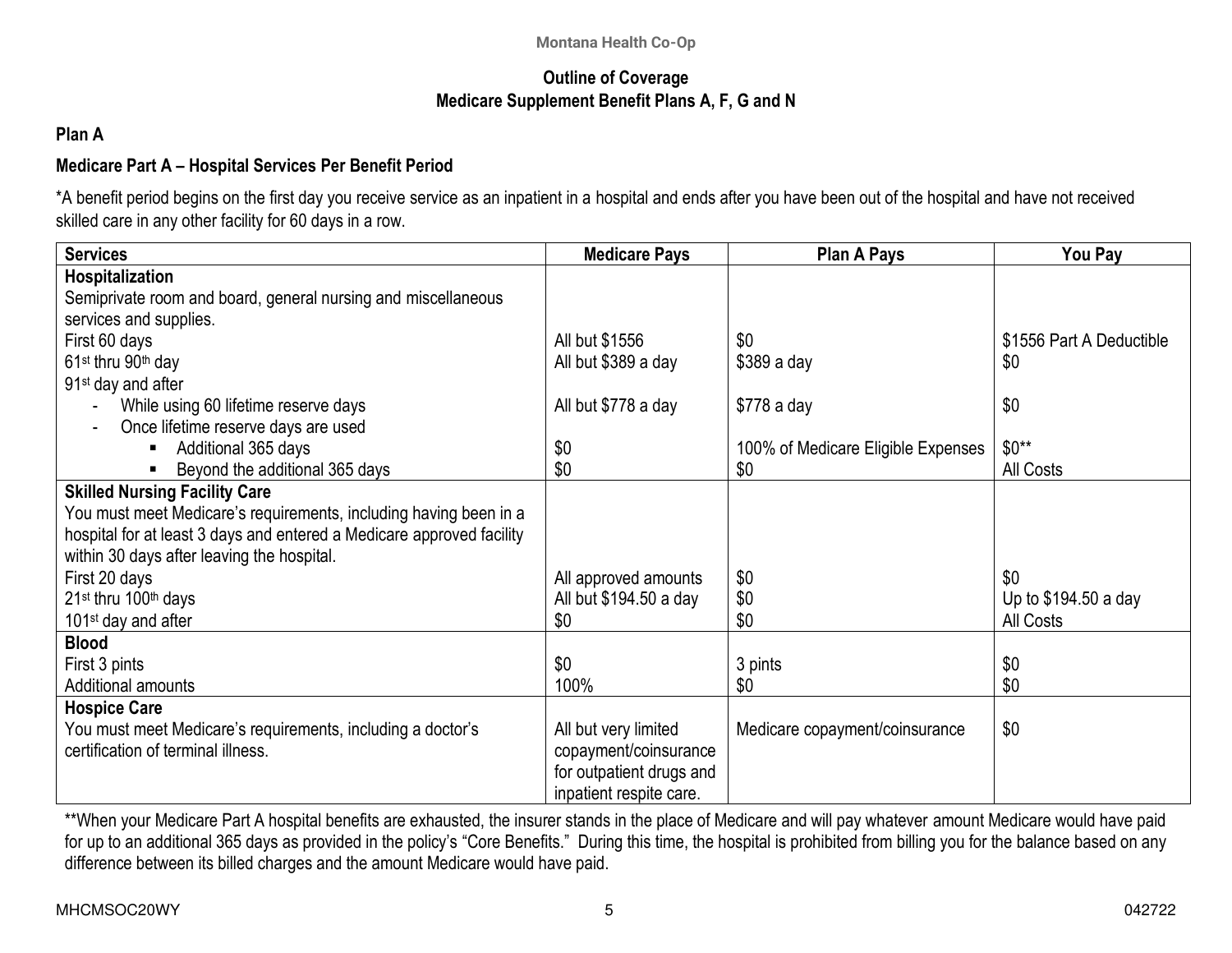### **Outline of Coverage Medicare Supplement Benefit Plans A, F, G and N**

## **Plan A**

# **Medicare Part A – Hospital Services Per Benefit Period**

\*A benefit period begins on the first day you receive service as an inpatient in a hospital and ends after you have been out of the hospital and have not received skilled care in any other facility for 60 days in a row.

| <b>Services</b>                                                       | <b>Medicare Pays</b>     | <b>Plan A Pays</b>                 | You Pay                  |
|-----------------------------------------------------------------------|--------------------------|------------------------------------|--------------------------|
| Hospitalization                                                       |                          |                                    |                          |
| Semiprivate room and board, general nursing and miscellaneous         |                          |                                    |                          |
| services and supplies.                                                |                          |                                    |                          |
| First 60 days                                                         | All but \$1556           | \$0                                | \$1556 Part A Deductible |
| 61 <sup>st</sup> thru 90 <sup>th</sup> day                            | All but \$389 a day      | $$389a$ day                        | \$0                      |
| 91 <sup>st</sup> day and after                                        |                          |                                    |                          |
| While using 60 lifetime reserve days                                  | All but \$778 a day      | $$778a$ day                        | \$0                      |
| Once lifetime reserve days are used                                   |                          |                                    |                          |
| Additional 365 days<br>$\blacksquare$                                 | \$0                      | 100% of Medicare Eligible Expenses | $$0**$                   |
| Beyond the additional 365 days                                        | \$0                      | \$0                                | All Costs                |
| <b>Skilled Nursing Facility Care</b>                                  |                          |                                    |                          |
| You must meet Medicare's requirements, including having been in a     |                          |                                    |                          |
| hospital for at least 3 days and entered a Medicare approved facility |                          |                                    |                          |
| within 30 days after leaving the hospital.                            |                          |                                    |                          |
| First 20 days                                                         | All approved amounts     | \$0                                | \$0                      |
| 21 <sup>st</sup> thru 100 <sup>th</sup> days                          | All but \$194.50 a day   | \$0                                | Up to \$194.50 a day     |
| 101 <sup>st</sup> day and after                                       | \$0                      | \$0                                | All Costs                |
| <b>Blood</b>                                                          |                          |                                    |                          |
| First 3 pints                                                         | \$0                      | 3 pints                            | \$0                      |
| Additional amounts                                                    | 100%                     | \$0                                | \$0                      |
| <b>Hospice Care</b>                                                   |                          |                                    |                          |
| You must meet Medicare's requirements, including a doctor's           | All but very limited     | Medicare copayment/coinsurance     | \$0                      |
| certification of terminal illness.                                    | copayment/coinsurance    |                                    |                          |
|                                                                       | for outpatient drugs and |                                    |                          |
|                                                                       | inpatient respite care.  |                                    |                          |

\*\*When your Medicare Part A hospital benefits are exhausted, the insurer stands in the place of Medicare and will pay whatever amount Medicare would have paid for up to an additional 365 days as provided in the policy's "Core Benefits." During this time, the hospital is prohibited from billing you for the balance based on any difference between its billed charges and the amount Medicare would have paid.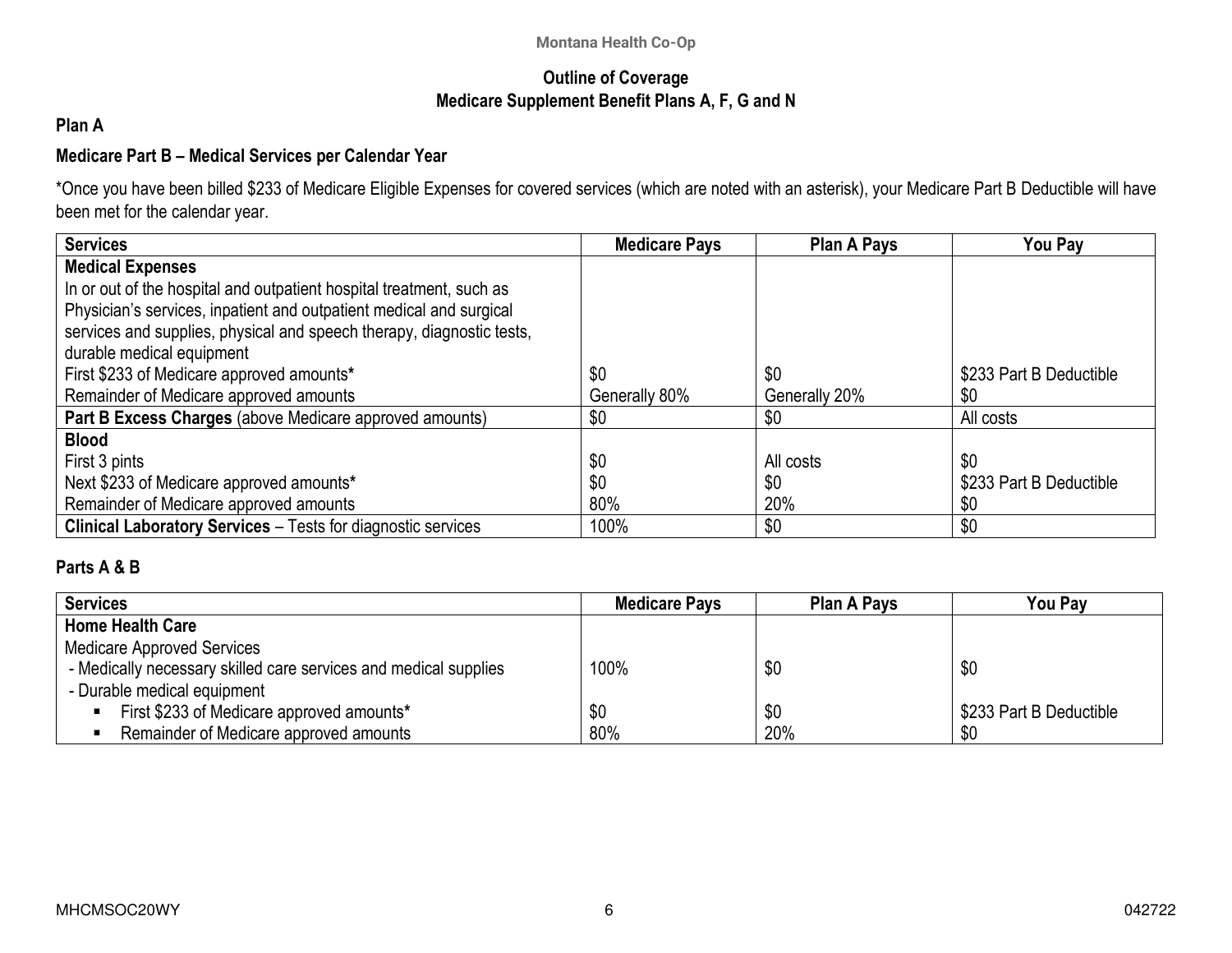### **Outline of Coverage Medicare Supplement Benefit Plans A, F, G and N**

## **Plan A**

### **Medicare Part B – Medical Services per Calendar Year**

\*Once you have been billed \$233 of Medicare Eligible Expenses for covered services (which are noted with an asterisk), your Medicare Part B Deductible will have been met for the calendar year.

| <b>Services</b>                                                       | <b>Medicare Pays</b> | <b>Plan A Pays</b> | You Pay                 |
|-----------------------------------------------------------------------|----------------------|--------------------|-------------------------|
| <b>Medical Expenses</b>                                               |                      |                    |                         |
| In or out of the hospital and outpatient hospital treatment, such as  |                      |                    |                         |
| Physician's services, inpatient and outpatient medical and surgical   |                      |                    |                         |
| services and supplies, physical and speech therapy, diagnostic tests, |                      |                    |                         |
| durable medical equipment                                             |                      |                    |                         |
| First \$233 of Medicare approved amounts*                             | \$0                  | \$0                | \$233 Part B Deductible |
| Remainder of Medicare approved amounts                                | Generally 80%        | Generally 20%      | \$0                     |
| Part B Excess Charges (above Medicare approved amounts)               | \$0                  | \$0                | All costs               |
| <b>Blood</b>                                                          |                      |                    |                         |
| First 3 pints                                                         | \$0                  | All costs          | \$0                     |
| Next \$233 of Medicare approved amounts*                              | \$0                  | \$0                | \$233 Part B Deductible |
| Remainder of Medicare approved amounts                                | 80%                  | 20%                | \$0                     |
| <b>Clinical Laboratory Services - Tests for diagnostic services</b>   | 100%                 | \$0                | \$0                     |

### **Parts A & B**

| Services                                                         | <b>Medicare Pays</b> | Plan A Pays | You Pav                 |
|------------------------------------------------------------------|----------------------|-------------|-------------------------|
| │ Home Health Care                                               |                      |             |                         |
| Medicare Approved Services                                       |                      |             |                         |
| - Medically necessary skilled care services and medical supplies | 100%                 | \$0         | \$0                     |
| - Durable medical equipment                                      |                      |             |                         |
| First \$233 of Medicare approved amounts*                        | \$0                  | \$0         | \$233 Part B Deductible |
| Remainder of Medicare approved amounts                           | 80%                  | 20%         | \$0                     |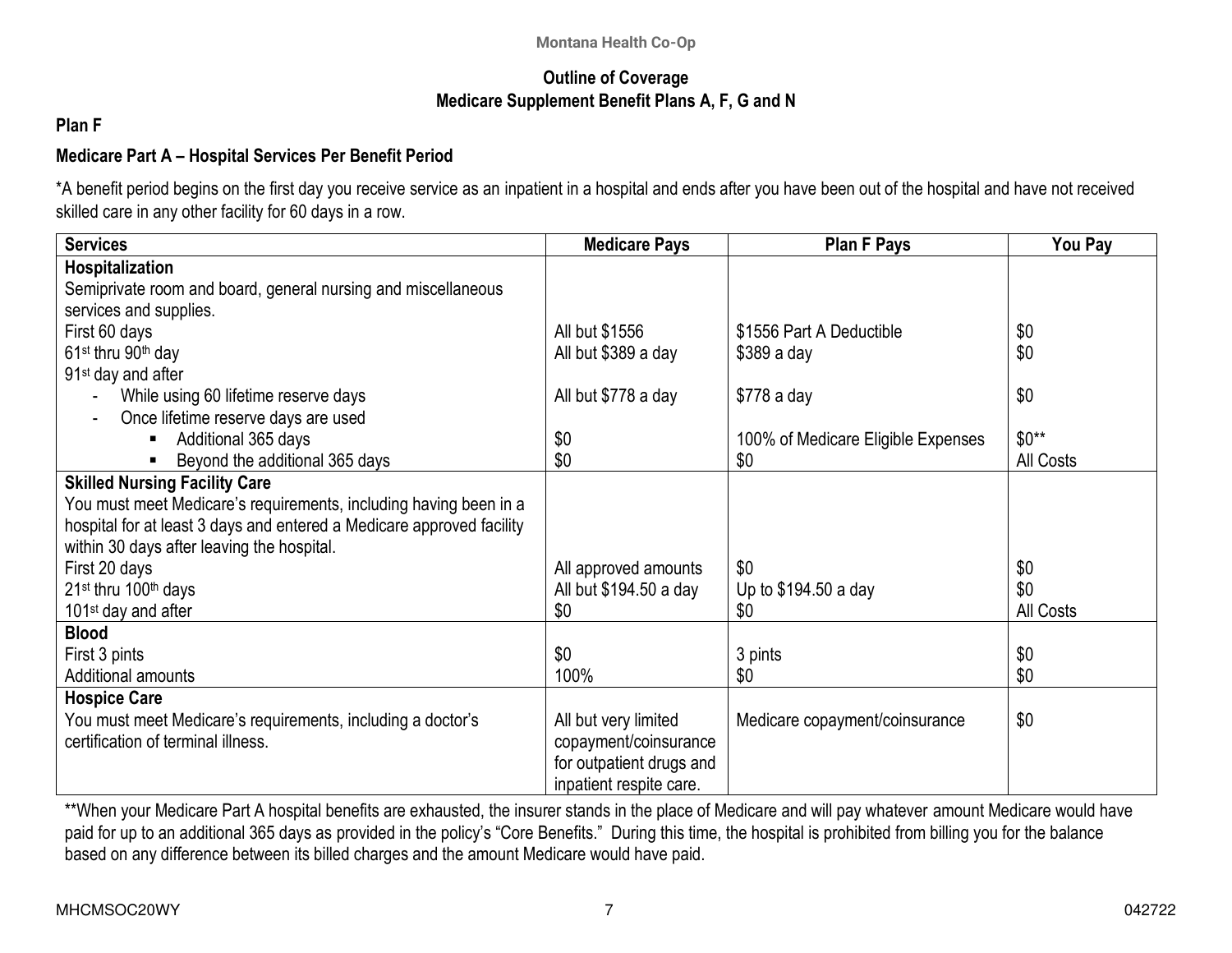### **Outline of Coverage Medicare Supplement Benefit Plans A, F, G and N**

### **Plan F**

## **Medicare Part A – Hospital Services Per Benefit Period**

\*A benefit period begins on the first day you receive service as an inpatient in a hospital and ends after you have been out of the hospital and have not received skilled care in any other facility for 60 days in a row.

| <b>Services</b>                                                       | <b>Medicare Pays</b>     | <b>Plan F Pays</b>                 | You Pay   |
|-----------------------------------------------------------------------|--------------------------|------------------------------------|-----------|
| Hospitalization                                                       |                          |                                    |           |
| Semiprivate room and board, general nursing and miscellaneous         |                          |                                    |           |
| services and supplies.                                                |                          |                                    |           |
| First 60 days                                                         | All but \$1556           | \$1556 Part A Deductible           | \$0       |
| 61 <sup>st</sup> thru 90 <sup>th</sup> day                            | All but \$389 a day      | $$389a$ day                        | \$0       |
| 91 <sup>st</sup> day and after                                        |                          |                                    |           |
| While using 60 lifetime reserve days                                  | All but \$778 a day      | \$778 a day                        | \$0       |
| Once lifetime reserve days are used                                   |                          |                                    |           |
| Additional 365 days<br>п                                              | \$0                      | 100% of Medicare Eligible Expenses | $$0**$    |
| Beyond the additional 365 days<br>л                                   | \$0                      | \$0                                | All Costs |
| <b>Skilled Nursing Facility Care</b>                                  |                          |                                    |           |
| You must meet Medicare's requirements, including having been in a     |                          |                                    |           |
| hospital for at least 3 days and entered a Medicare approved facility |                          |                                    |           |
| within 30 days after leaving the hospital.                            |                          |                                    |           |
| First 20 days                                                         | All approved amounts     | \$0                                | \$0       |
| 21st thru 100th days                                                  | All but \$194.50 a day   | Up to \$194.50 a day               | \$0       |
| 101 <sup>st</sup> day and after                                       | \$0                      | \$0                                | All Costs |
| <b>Blood</b>                                                          |                          |                                    |           |
| First 3 pints                                                         | \$0                      | 3 pints                            | \$0       |
| Additional amounts                                                    | 100%                     | \$0                                | \$0       |
| <b>Hospice Care</b>                                                   |                          |                                    |           |
| You must meet Medicare's requirements, including a doctor's           | All but very limited     | Medicare copayment/coinsurance     | \$0       |
| certification of terminal illness.                                    | copayment/coinsurance    |                                    |           |
|                                                                       | for outpatient drugs and |                                    |           |
|                                                                       | inpatient respite care.  |                                    |           |

\*\*When your Medicare Part A hospital benefits are exhausted, the insurer stands in the place of Medicare and will pay whatever amount Medicare would have paid for up to an additional 365 days as provided in the policy's "Core Benefits." During this time, the hospital is prohibited from billing you for the balance based on any difference between its billed charges and the amount Medicare would have paid.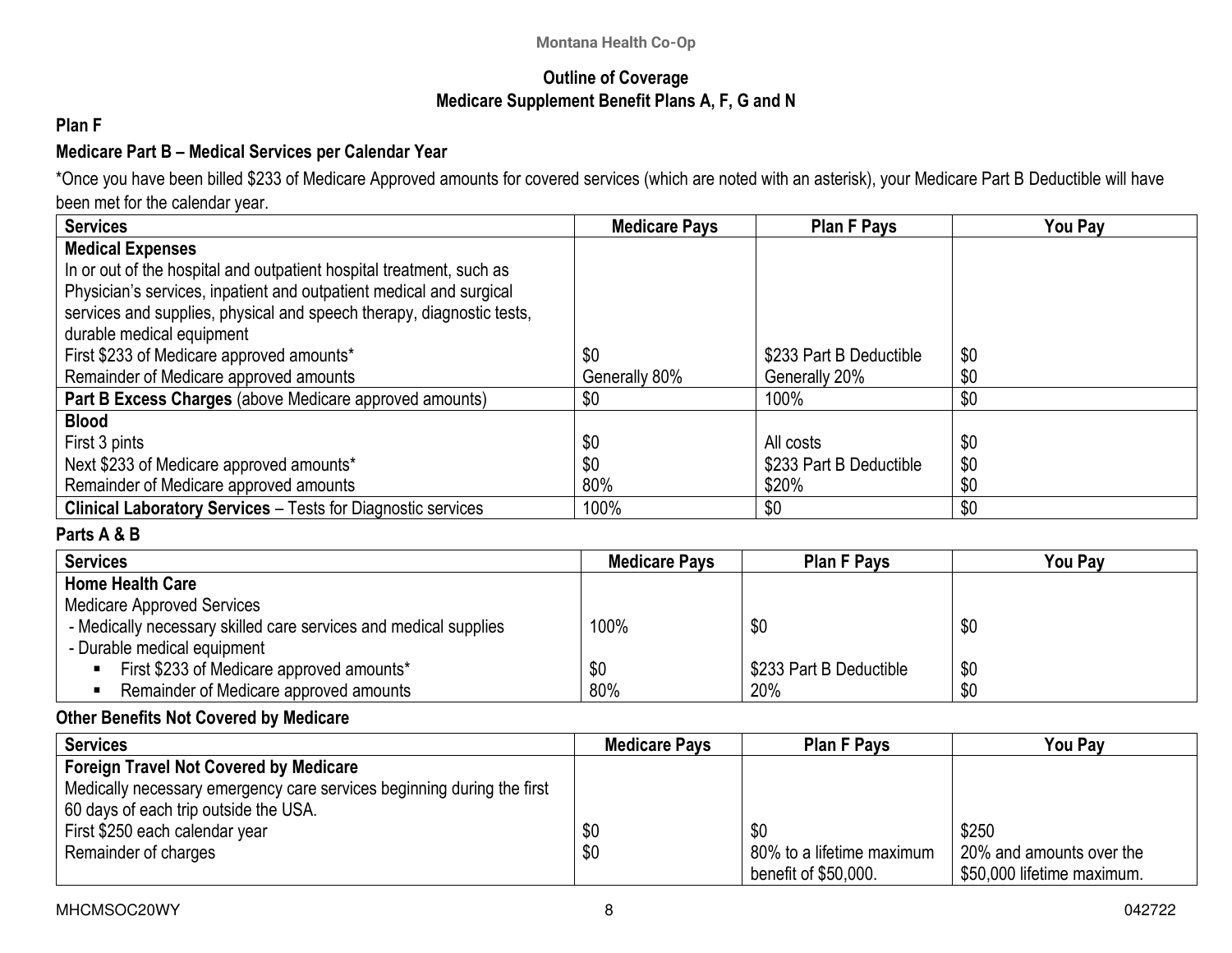### **Outline of Coverage Medicare Supplement Benefit Plans A, F, G and N**

## **Plan F**

### **Medicare Part B – Medical Services per Calendar Year**

\*Once you have been billed \$233 of Medicare Approved amounts for covered services (which are noted with an asterisk), your Medicare Part B Deductible will have been met for the calendar year.

| <b>Services</b>                                                       | <b>Medicare Pays</b> | <b>Plan F Pays</b>      | You Pay |
|-----------------------------------------------------------------------|----------------------|-------------------------|---------|
| <b>Medical Expenses</b>                                               |                      |                         |         |
| In or out of the hospital and outpatient hospital treatment, such as  |                      |                         |         |
| Physician's services, inpatient and outpatient medical and surgical   |                      |                         |         |
| services and supplies, physical and speech therapy, diagnostic tests, |                      |                         |         |
| durable medical equipment                                             |                      |                         |         |
| First \$233 of Medicare approved amounts*                             | \$0                  | \$233 Part B Deductible | \$0     |
| Remainder of Medicare approved amounts                                | Generally 80%        | Generally 20%           | \$0     |
| Part B Excess Charges (above Medicare approved amounts)               | \$0                  | 100%                    | \$0     |
| <b>Blood</b>                                                          |                      |                         |         |
| First 3 pints                                                         | \$0                  | All costs               | \$0     |
| Next \$233 of Medicare approved amounts*                              | \$0                  | \$233 Part B Deductible | \$0     |
| Remainder of Medicare approved amounts                                | 80%                  | \$20%                   | \$0     |
| <b>Clinical Laboratory Services - Tests for Diagnostic services</b>   | 100%                 | \$0                     | \$0     |

## **Parts A & B**

| <b>Services</b>                                                  | <b>Medicare Pays</b> | <b>Plan F Pays</b>      | <b>You Pay</b> |
|------------------------------------------------------------------|----------------------|-------------------------|----------------|
| <b>Home Health Care</b>                                          |                      |                         |                |
| <b>Medicare Approved Services</b>                                |                      |                         |                |
| - Medically necessary skilled care services and medical supplies | 100%                 | \$0                     | \$0            |
| - Durable medical equipment                                      |                      |                         |                |
| First \$233 of Medicare approved amounts*                        | \$0                  | \$233 Part B Deductible | \$0            |
| Remainder of Medicare approved amounts                           | 80%                  | 20%                     | \$0            |

### **Other Benefits Not Covered by Medicare**

| <b>Services</b>                                                        | <b>Medicare Pays</b> | <b>Plan F Pays</b>        | You Pav                    |
|------------------------------------------------------------------------|----------------------|---------------------------|----------------------------|
| <b>Foreign Travel Not Covered by Medicare</b>                          |                      |                           |                            |
| Medically necessary emergency care services beginning during the first |                      |                           |                            |
| 60 days of each trip outside the USA.                                  |                      |                           |                            |
| First \$250 each calendar year                                         | \$0                  | \$0                       | \$250                      |
| Remainder of charges                                                   | \$0                  | 80% to a lifetime maximum | 20% and amounts over the   |
|                                                                        |                      | benefit of \$50,000.      | \$50,000 lifetime maximum. |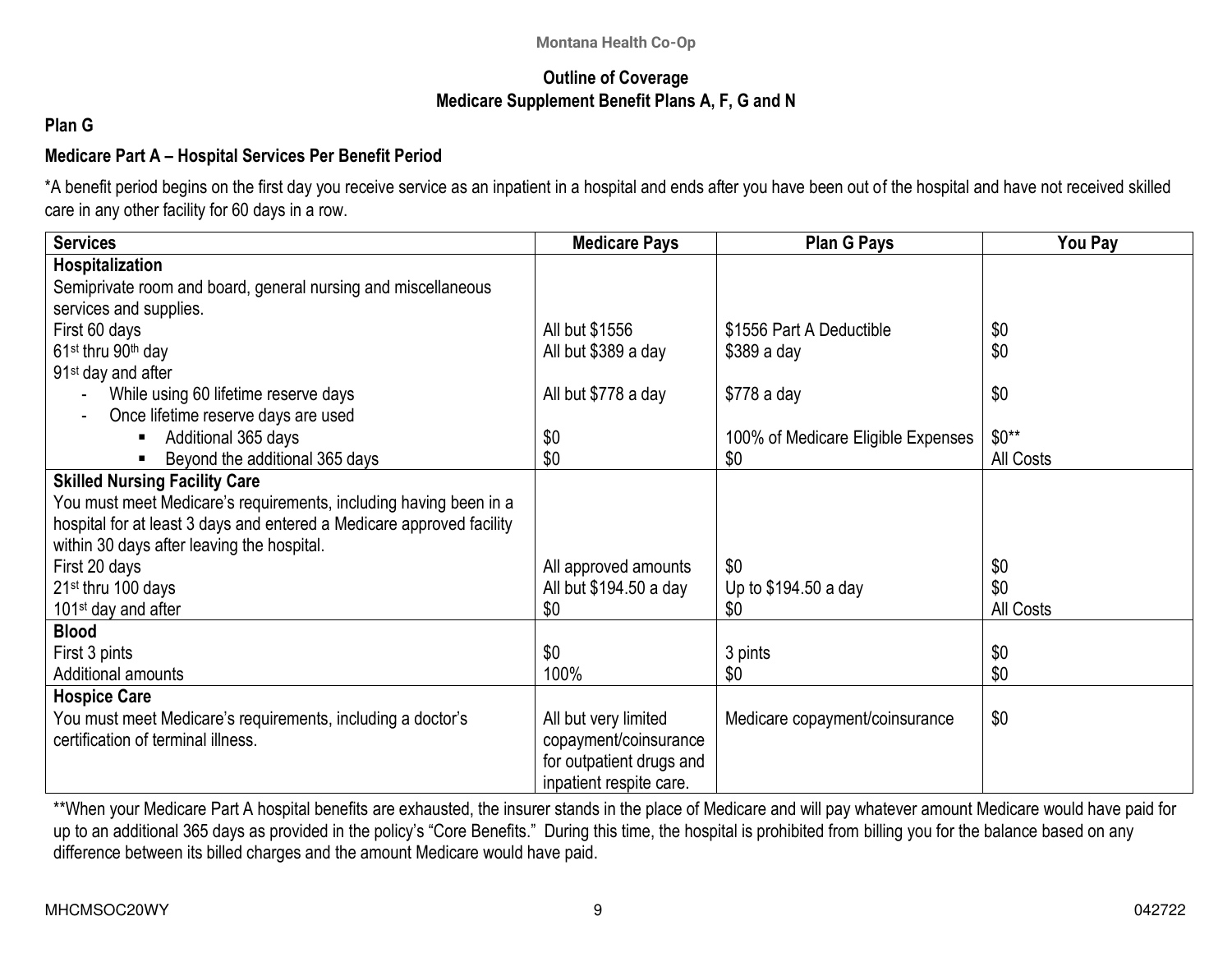### **Outline of Coverage Medicare Supplement Benefit Plans A, F, G and N**

## **Plan G**

## **Medicare Part A – Hospital Services Per Benefit Period**

\*A benefit period begins on the first day you receive service as an inpatient in a hospital and ends after you have been out of the hospital and have not received skilled care in any other facility for 60 days in a row.

| <b>Services</b>                                                       | <b>Medicare Pays</b>     | Plan G Pays                        | You Pay   |
|-----------------------------------------------------------------------|--------------------------|------------------------------------|-----------|
| <b>Hospitalization</b>                                                |                          |                                    |           |
| Semiprivate room and board, general nursing and miscellaneous         |                          |                                    |           |
| services and supplies.                                                |                          |                                    |           |
| First 60 days                                                         | All but \$1556           | \$1556 Part A Deductible           | \$0       |
| 61 <sup>st</sup> thru 90 <sup>th</sup> day                            | All but \$389 a day      | $$389a$ day                        | \$0       |
| 91 <sup>st</sup> day and after                                        |                          |                                    |           |
| While using 60 lifetime reserve days                                  | All but \$778 a day      | $$778$ a day                       | \$0       |
| Once lifetime reserve days are used                                   |                          |                                    |           |
| Additional 365 days                                                   | \$0                      | 100% of Medicare Eligible Expenses | $$0**$    |
| Beyond the additional 365 days                                        | \$0                      | \$0                                | All Costs |
| <b>Skilled Nursing Facility Care</b>                                  |                          |                                    |           |
| You must meet Medicare's requirements, including having been in a     |                          |                                    |           |
| hospital for at least 3 days and entered a Medicare approved facility |                          |                                    |           |
| within 30 days after leaving the hospital.                            |                          |                                    |           |
| First 20 days                                                         | All approved amounts     | \$0                                | \$0       |
| 21 <sup>st</sup> thru 100 days                                        | All but \$194.50 a day   | Up to \$194.50 a day               | \$0       |
| 101 <sup>st</sup> day and after                                       | \$0                      | \$0                                | All Costs |
| <b>Blood</b>                                                          |                          |                                    |           |
| First 3 pints                                                         | \$0                      | 3 pints                            | \$0       |
| <b>Additional amounts</b>                                             | 100%                     | \$0                                | \$0       |
| <b>Hospice Care</b>                                                   |                          |                                    |           |
| You must meet Medicare's requirements, including a doctor's           | All but very limited     | Medicare copayment/coinsurance     | \$0       |
| certification of terminal illness.                                    | copayment/coinsurance    |                                    |           |
|                                                                       | for outpatient drugs and |                                    |           |
|                                                                       | inpatient respite care.  |                                    |           |

\*\*When your Medicare Part A hospital benefits are exhausted, the insurer stands in the place of Medicare and will pay whatever amount Medicare would have paid for up to an additional 365 days as provided in the policy's "Core Benefits." During this time, the hospital is prohibited from billing you for the balance based on any difference between its billed charges and the amount Medicare would have paid.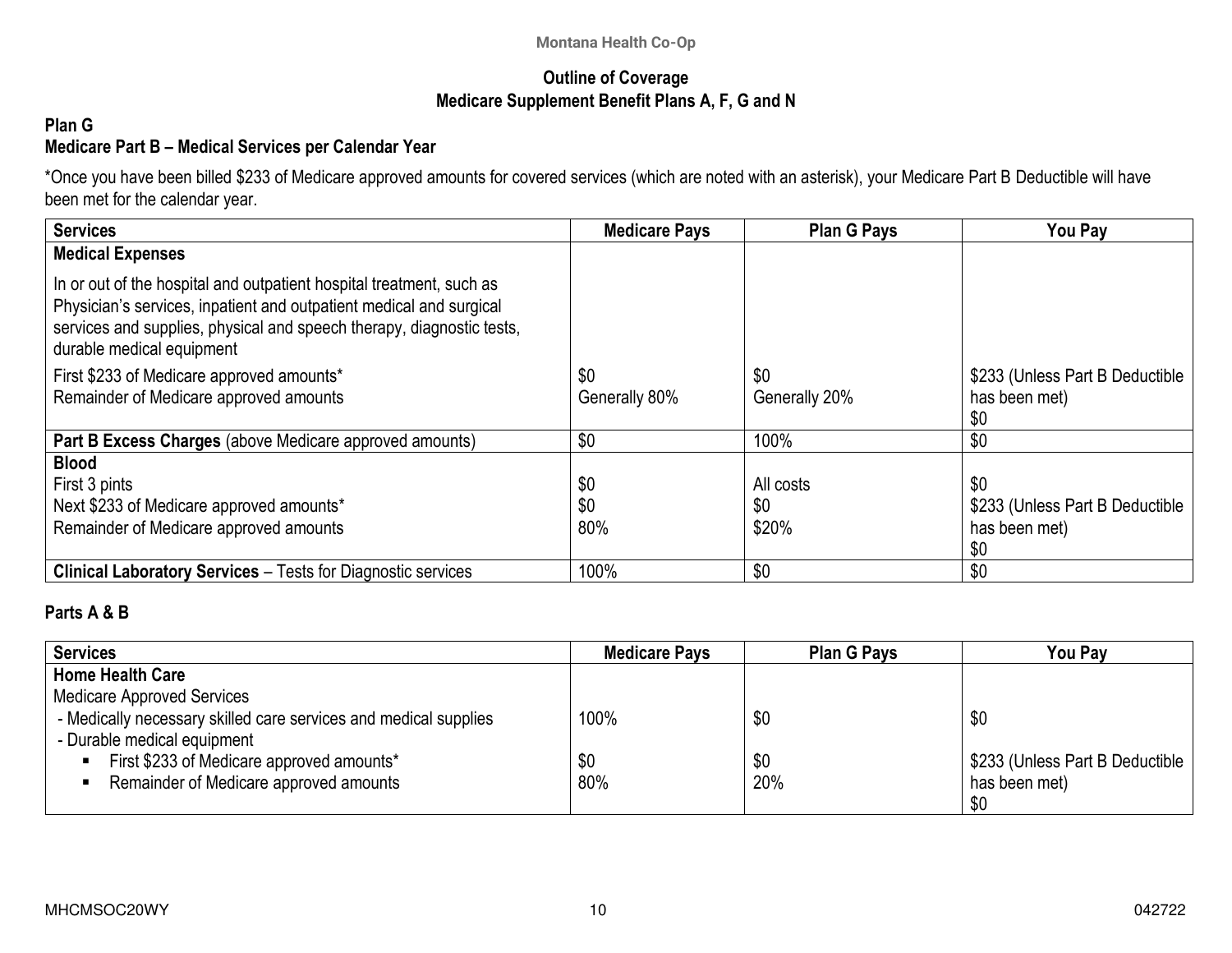### **Outline of Coverage Medicare Supplement Benefit Plans A, F, G and N**

### **Plan G Medicare Part B – Medical Services per Calendar Year**

\*Once you have been billed \$233 of Medicare approved amounts for covered services (which are noted with an asterisk), your Medicare Part B Deductible will have been met for the calendar year.

| <b>Services</b>                                                                                                                                                                                                                                   | <b>Medicare Pays</b> | <b>Plan G Pays</b>   | <b>You Pay</b>                                          |
|---------------------------------------------------------------------------------------------------------------------------------------------------------------------------------------------------------------------------------------------------|----------------------|----------------------|---------------------------------------------------------|
| <b>Medical Expenses</b>                                                                                                                                                                                                                           |                      |                      |                                                         |
| In or out of the hospital and outpatient hospital treatment, such as<br>Physician's services, inpatient and outpatient medical and surgical<br>services and supplies, physical and speech therapy, diagnostic tests,<br>durable medical equipment |                      |                      |                                                         |
| First \$233 of Medicare approved amounts*<br>Remainder of Medicare approved amounts                                                                                                                                                               | \$0<br>Generally 80% | \$0<br>Generally 20% | \$233 (Unless Part B Deductible<br>has been met)<br>\$0 |
| Part B Excess Charges (above Medicare approved amounts)                                                                                                                                                                                           | \$0                  | 100%                 | \$0                                                     |
| <b>Blood</b>                                                                                                                                                                                                                                      |                      |                      |                                                         |
| First 3 pints                                                                                                                                                                                                                                     | \$0                  | All costs            | \$0                                                     |
| Next \$233 of Medicare approved amounts*                                                                                                                                                                                                          | \$0                  | \$0                  | \$233 (Unless Part B Deductible                         |
| Remainder of Medicare approved amounts                                                                                                                                                                                                            | 80%                  | \$20%                | has been met)<br>\$0                                    |
| <b>Clinical Laboratory Services - Tests for Diagnostic services</b>                                                                                                                                                                               | 100%                 | \$0                  | \$0                                                     |

### **Parts A & B**

| <b>Services</b>                                                  | <b>Medicare Pays</b> | <b>Plan G Pays</b> | You Pay                         |
|------------------------------------------------------------------|----------------------|--------------------|---------------------------------|
| <b>Home Health Care</b>                                          |                      |                    |                                 |
| <b>Medicare Approved Services</b>                                |                      |                    |                                 |
| - Medically necessary skilled care services and medical supplies | 100%                 | \$0                | \$0                             |
| - Durable medical equipment                                      |                      |                    |                                 |
| First \$233 of Medicare approved amounts*<br>$\blacksquare$      | \$0                  | \$0                | \$233 (Unless Part B Deductible |
| Remainder of Medicare approved amounts                           | 80%                  | 20%                | has been met)                   |
|                                                                  |                      |                    | \$0                             |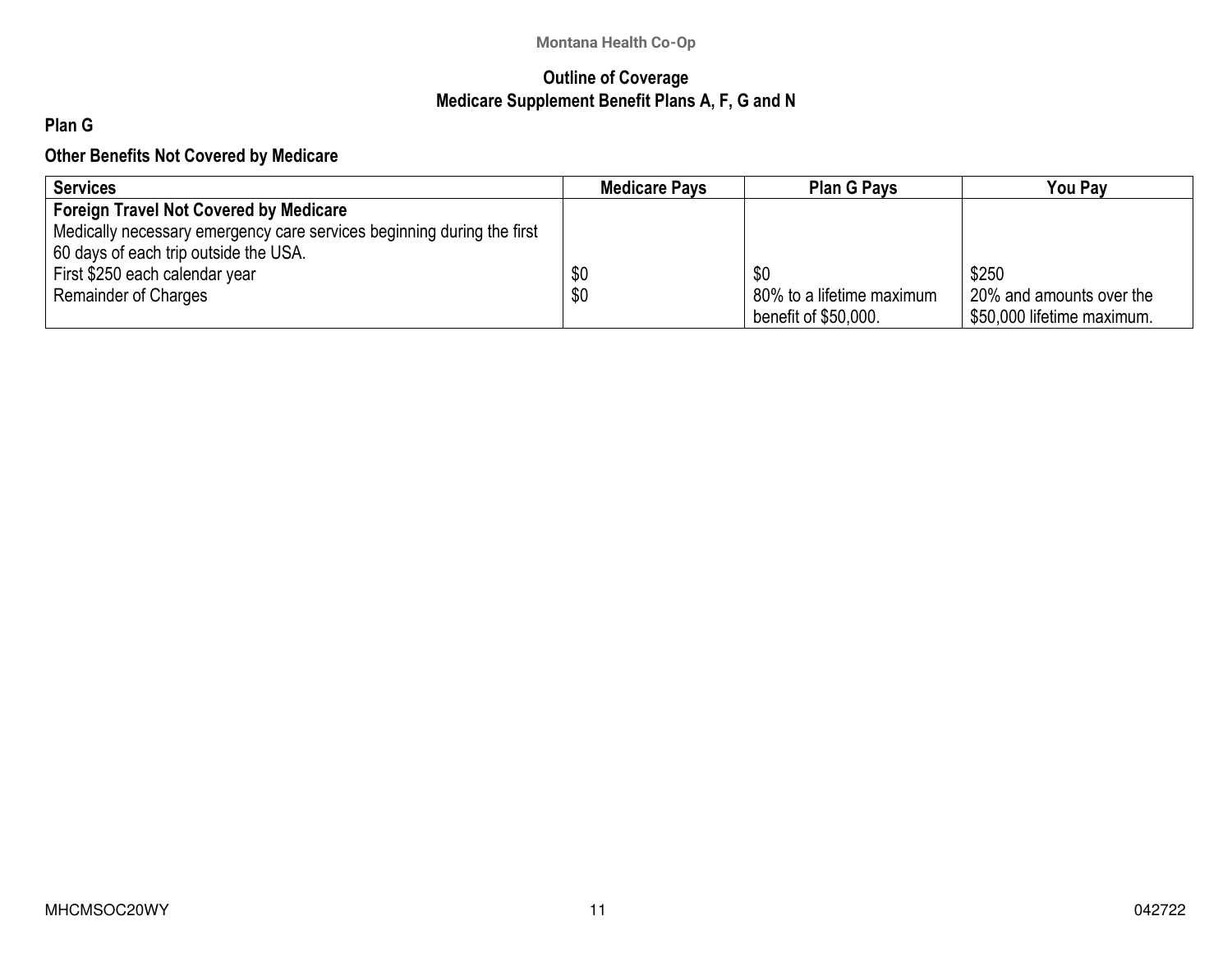## **Outline of Coverage Medicare Supplement Benefit Plans A, F, G and N**

# **Plan G**

### **Other Benefits Not Covered by Medicare**

| <b>Services</b>                                                        | <b>Medicare Pays</b> | <b>Plan G Pays</b>        | You Pav                    |
|------------------------------------------------------------------------|----------------------|---------------------------|----------------------------|
| <b>Foreign Travel Not Covered by Medicare</b>                          |                      |                           |                            |
| Medically necessary emergency care services beginning during the first |                      |                           |                            |
| 60 days of each trip outside the USA.                                  |                      |                           |                            |
| First \$250 each calendar year                                         | \$0                  | \$0                       | \$250                      |
| <b>Remainder of Charges</b>                                            | \$0                  | 80% to a lifetime maximum | 20% and amounts over the   |
|                                                                        |                      | benefit of \$50,000.      | \$50,000 lifetime maximum. |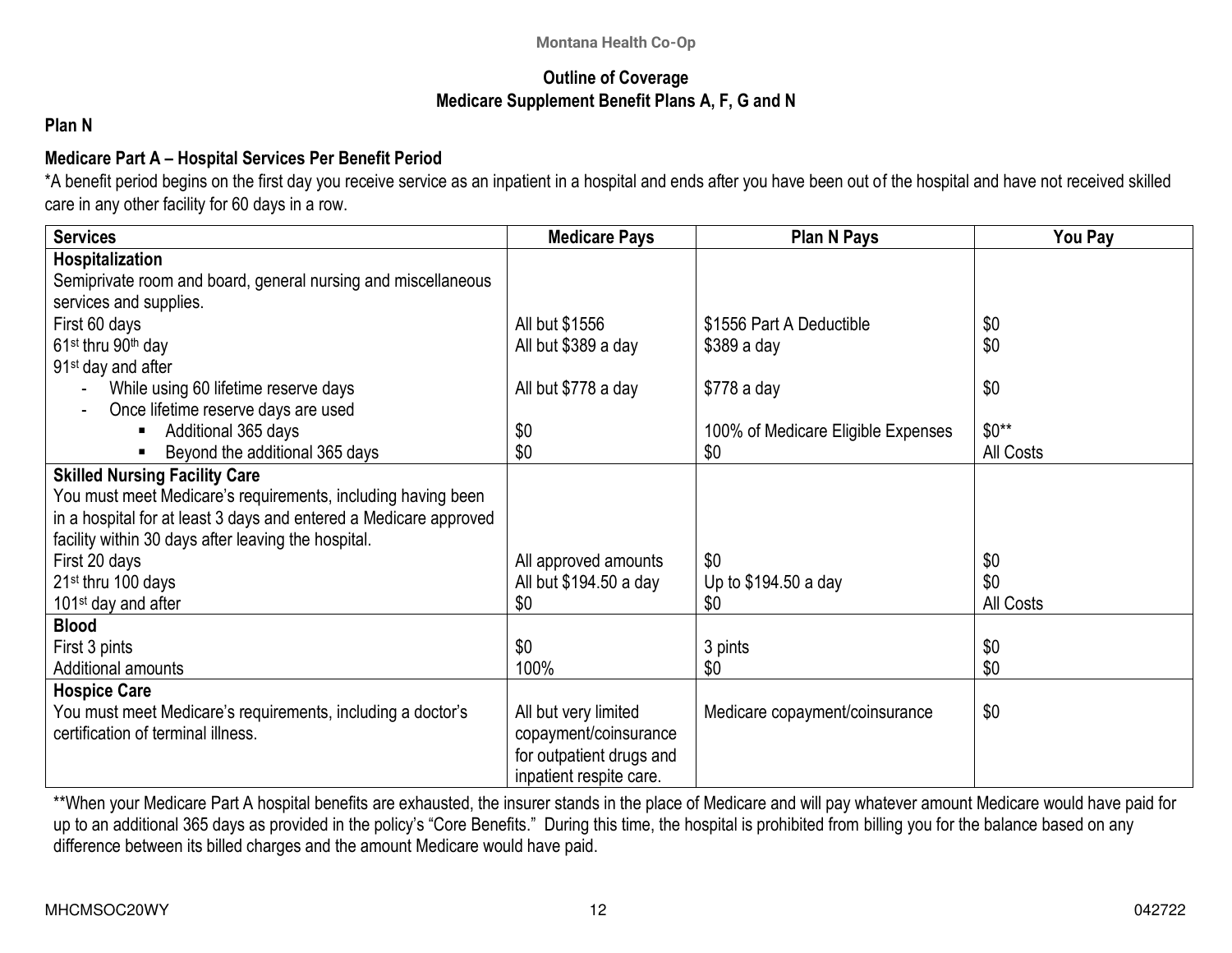### **Outline of Coverage Medicare Supplement Benefit Plans A, F, G and N**

### **Plan N**

## **Medicare Part A – Hospital Services Per Benefit Period**

\*A benefit period begins on the first day you receive service as an inpatient in a hospital and ends after you have been out of the hospital and have not received skilled care in any other facility for 60 days in a row.

| <b>Services</b>                                                   | <b>Medicare Pays</b>     | <b>Plan N Pays</b>                 | You Pay   |
|-------------------------------------------------------------------|--------------------------|------------------------------------|-----------|
| Hospitalization                                                   |                          |                                    |           |
| Semiprivate room and board, general nursing and miscellaneous     |                          |                                    |           |
| services and supplies.                                            |                          |                                    |           |
| First 60 days                                                     | All but \$1556           | \$1556 Part A Deductible           | \$0       |
| 61 <sup>st</sup> thru 90 <sup>th</sup> day                        | All but \$389 a day      | $$389a$ day                        | \$0       |
| 91 <sup>st</sup> day and after                                    |                          |                                    |           |
| While using 60 lifetime reserve days                              | All but \$778 a day      | $$778a$ day                        | \$0       |
| Once lifetime reserve days are used                               |                          |                                    |           |
| Additional 365 days                                               | \$0                      | 100% of Medicare Eligible Expenses | $$0**$    |
| Beyond the additional 365 days                                    | \$0                      | \$0                                | All Costs |
| <b>Skilled Nursing Facility Care</b>                              |                          |                                    |           |
| You must meet Medicare's requirements, including having been      |                          |                                    |           |
| in a hospital for at least 3 days and entered a Medicare approved |                          |                                    |           |
| facility within 30 days after leaving the hospital.               |                          |                                    |           |
| First 20 days                                                     | All approved amounts     | \$0                                | \$0       |
| 21 <sup>st</sup> thru 100 days                                    | All but \$194.50 a day   | Up to \$194.50 a day               | \$0       |
| 101 <sup>st</sup> day and after                                   | \$0                      | \$0                                | All Costs |
| <b>Blood</b>                                                      |                          |                                    |           |
| First 3 pints                                                     | \$0                      | 3 pints                            | \$0       |
| Additional amounts                                                | 100%                     | \$0                                | \$0       |
| <b>Hospice Care</b>                                               |                          |                                    |           |
| You must meet Medicare's requirements, including a doctor's       | All but very limited     | Medicare copayment/coinsurance     | \$0       |
| certification of terminal illness.                                | copayment/coinsurance    |                                    |           |
|                                                                   | for outpatient drugs and |                                    |           |
|                                                                   | inpatient respite care.  |                                    |           |

\*\*When your Medicare Part A hospital benefits are exhausted, the insurer stands in the place of Medicare and will pay whatever amount Medicare would have paid for up to an additional 365 days as provided in the policy's "Core Benefits." During this time, the hospital is prohibited from billing you for the balance based on any difference between its billed charges and the amount Medicare would have paid.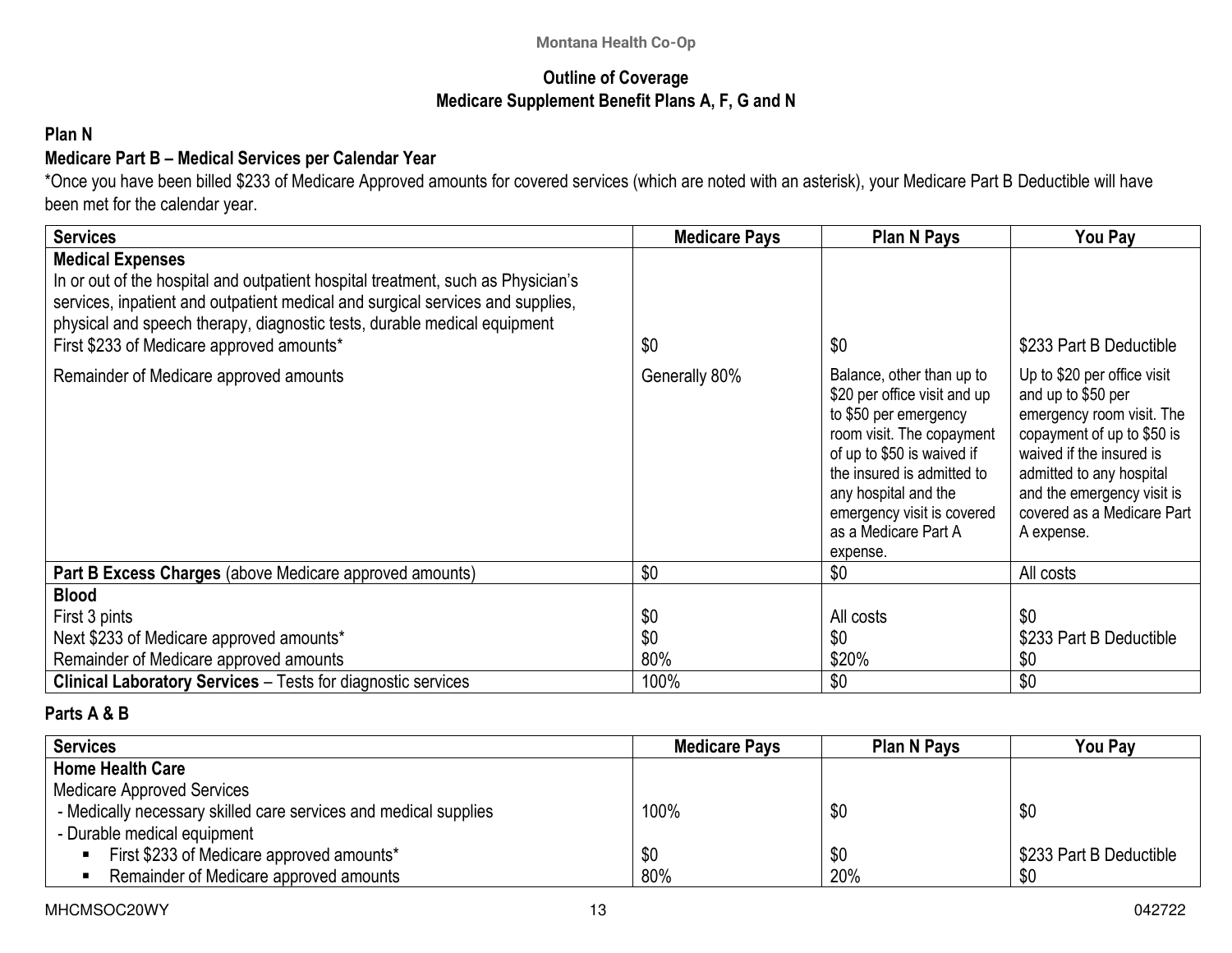### **Outline of Coverage Medicare Supplement Benefit Plans A, F, G and N**

### **Plan N**

## **Medicare Part B – Medical Services per Calendar Year**

\*Once you have been billed \$233 of Medicare Approved amounts for covered services (which are noted with an asterisk), your Medicare Part B Deductible will have been met for the calendar year.

| <b>Services</b>                                                                                                                                                                                                                                                                                                                                                  | <b>Medicare Pays</b> | <b>Plan N Pays</b>                                                                                                                                                                                                                                               | You Pay                                                                                                                                                                                                                                                                   |
|------------------------------------------------------------------------------------------------------------------------------------------------------------------------------------------------------------------------------------------------------------------------------------------------------------------------------------------------------------------|----------------------|------------------------------------------------------------------------------------------------------------------------------------------------------------------------------------------------------------------------------------------------------------------|---------------------------------------------------------------------------------------------------------------------------------------------------------------------------------------------------------------------------------------------------------------------------|
| <b>Medical Expenses</b><br>In or out of the hospital and outpatient hospital treatment, such as Physician's<br>services, inpatient and outpatient medical and surgical services and supplies,<br>physical and speech therapy, diagnostic tests, durable medical equipment<br>First \$233 of Medicare approved amounts*<br>Remainder of Medicare approved amounts | \$0<br>Generally 80% | \$0<br>Balance, other than up to<br>\$20 per office visit and up<br>to \$50 per emergency<br>room visit. The copayment<br>of up to \$50 is waived if<br>the insured is admitted to<br>any hospital and the<br>emergency visit is covered<br>as a Medicare Part A | \$233 Part B Deductible<br>Up to \$20 per office visit<br>and up to \$50 per<br>emergency room visit. The<br>copayment of up to \$50 is<br>waived if the insured is<br>admitted to any hospital<br>and the emergency visit is<br>covered as a Medicare Part<br>A expense. |
|                                                                                                                                                                                                                                                                                                                                                                  |                      | expense.                                                                                                                                                                                                                                                         |                                                                                                                                                                                                                                                                           |
| <b>Part B Excess Charges (above Medicare approved amounts)</b>                                                                                                                                                                                                                                                                                                   | \$0                  | \$0                                                                                                                                                                                                                                                              | All costs                                                                                                                                                                                                                                                                 |
| <b>Blood</b>                                                                                                                                                                                                                                                                                                                                                     |                      |                                                                                                                                                                                                                                                                  |                                                                                                                                                                                                                                                                           |
| First 3 pints                                                                                                                                                                                                                                                                                                                                                    | \$0                  | All costs                                                                                                                                                                                                                                                        | \$0                                                                                                                                                                                                                                                                       |
| Next \$233 of Medicare approved amounts*                                                                                                                                                                                                                                                                                                                         | \$0                  | \$0                                                                                                                                                                                                                                                              | \$233 Part B Deductible                                                                                                                                                                                                                                                   |
| Remainder of Medicare approved amounts                                                                                                                                                                                                                                                                                                                           | 80%                  | \$20%                                                                                                                                                                                                                                                            | \$0                                                                                                                                                                                                                                                                       |
| <b>Clinical Laboratory Services</b> – Tests for diagnostic services                                                                                                                                                                                                                                                                                              | 100%                 | \$0                                                                                                                                                                                                                                                              | \$0                                                                                                                                                                                                                                                                       |

## **Parts A & B**

| <b>Services</b>                                                  | <b>Medicare Pays</b> | <b>Plan N Pays</b> | <b>You Pay</b>          |
|------------------------------------------------------------------|----------------------|--------------------|-------------------------|
| <b>Home Health Care</b>                                          |                      |                    |                         |
| <b>Medicare Approved Services</b>                                |                      |                    |                         |
| - Medically necessary skilled care services and medical supplies | 100%                 | \$0                | \$0                     |
| - Durable medical equipment                                      |                      |                    |                         |
| First \$233 of Medicare approved amounts*                        | \$0                  | \$0                | \$233 Part B Deductible |
| Remainder of Medicare approved amounts                           | 80%                  | 20%                | \$0                     |